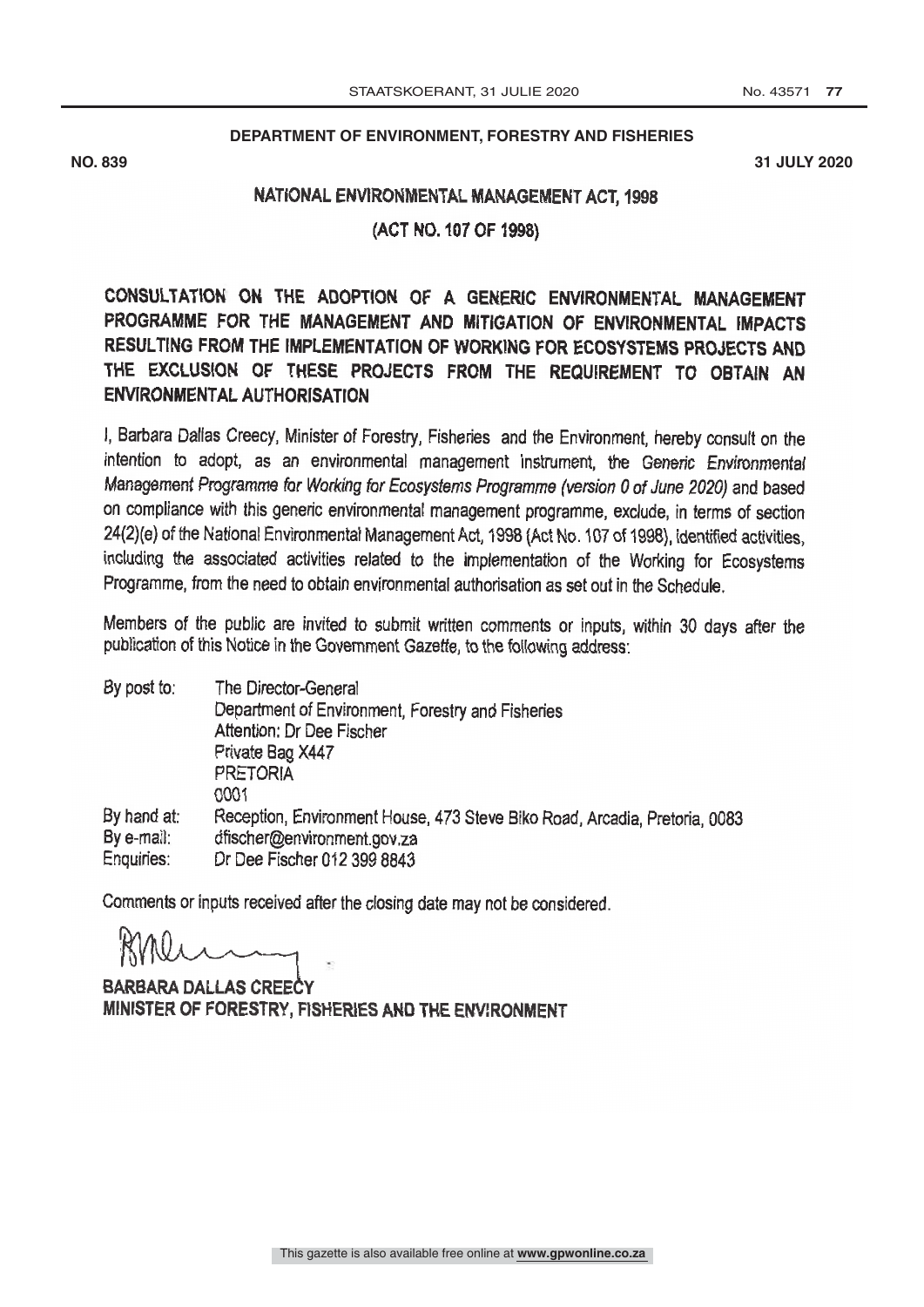## **DEPARTMENT OF ENVIRONMENT, FORESTRY AND FISHERIES**

**NO. 839 31 JULY 2020**

## NATIONAL ENVIRONMENTAL MANAGEMENT ACT, 1998

(ACT NO. 107 OF 1998)

CONSULTATION ON THE ADOPTION OF A GENERIC ENVIRONMENTAL MANAGEMENT<br>PROGRAMME FOR THE MANAGEMENT AND MITIGATION OF ENVIRONMENTAL IMPACTS<br>RESULTING FROM THE IMPLEMENTATION OF WORKING FOR ECOSYSTEMS PROJECTS AND<br>THE EXCLUSION ENVIRONMENTAL AUTHORISATION

1, Barbara Dallas Creecy, Minister of Forestry, Fisheries and the Environment, hereby consult on the intention to adopt, as an environmental management instrument, the Generic Environmental Management Programme for Working on compliance with this generic environmental management programme, exclude, in terms of section 24(2)(e) of the National Environmental Management Act, 1998 (Act No. 107 of 1998), identified activities, including the associated activities related to the implementation of the Working for Ecosystems<br>Programme, from the need to obtain environmental authorisation as set out in the Schedule.

Members of the public are invited to submit written comments or inputs, within 30 days after the publication of this Notice in the Government Gazette, to the following address:

| By post to:                             | The Director-General                                                                                                                     |
|-----------------------------------------|------------------------------------------------------------------------------------------------------------------------------------------|
|                                         | Department of Environment, Forestry and Fisheries                                                                                        |
|                                         | Attention: Dr Dee Fischer                                                                                                                |
|                                         | Private Bag X447                                                                                                                         |
|                                         | <b>PRETORIA</b>                                                                                                                          |
|                                         | 0001                                                                                                                                     |
| By hand at:<br>By e-mail:<br>Enquiries: | Reception, Environment House, 473 Steve Biko Road, Arcadia, Pretoria, 0083<br>dfischer@environment.gov.za<br>Dr Dee Fischer 012 399 8843 |
|                                         |                                                                                                                                          |

Comments or inputs received after the closing date may not be considered.

BARBARA DALLAS CREECY MINISTER OF FORESTRY, FISHERIES AND THE ENVIRONMENT